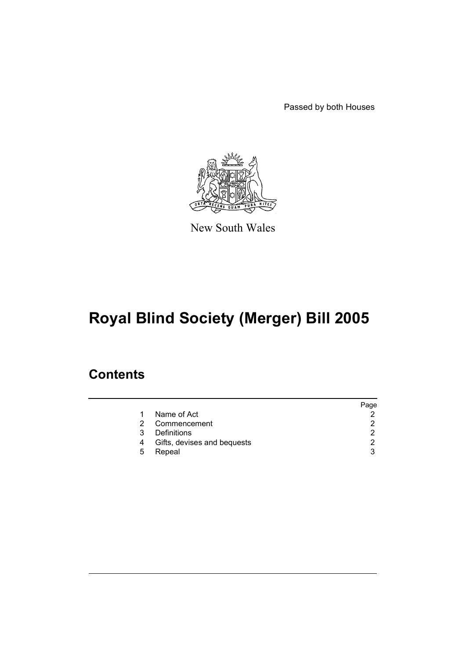Passed by both Houses



New South Wales

# **Royal Blind Society (Merger) Bill 2005**

### **Contents**

|                             | Page |
|-----------------------------|------|
| Name of Act                 |      |
| Commencement                | 2    |
| Definitions                 |      |
| Gifts, devises and bequests | 2    |
| Repeal                      | 3    |
|                             |      |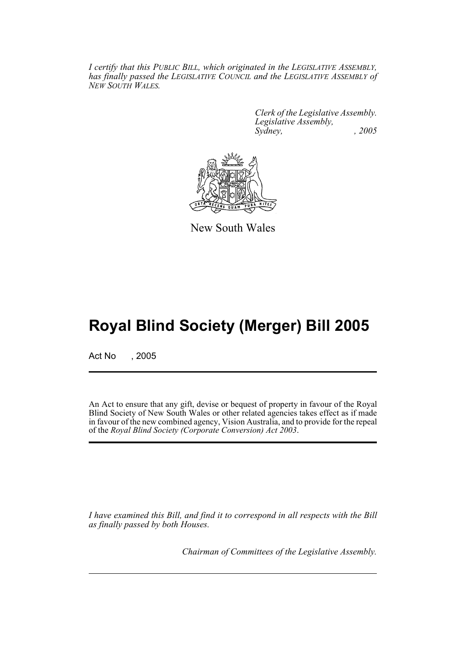*I certify that this PUBLIC BILL, which originated in the LEGISLATIVE ASSEMBLY, has finally passed the LEGISLATIVE COUNCIL and the LEGISLATIVE ASSEMBLY of NEW SOUTH WALES.*

> *Clerk of the Legislative Assembly. Legislative Assembly, Sydney, , 2005*



New South Wales

## **Royal Blind Society (Merger) Bill 2005**

Act No , 2005

An Act to ensure that any gift, devise or bequest of property in favour of the Royal Blind Society of New South Wales or other related agencies takes effect as if made in favour of the new combined agency, Vision Australia, and to provide for the repeal of the *Royal Blind Society (Corporate Conversion) Act 2003*.

*I have examined this Bill, and find it to correspond in all respects with the Bill as finally passed by both Houses.*

*Chairman of Committees of the Legislative Assembly.*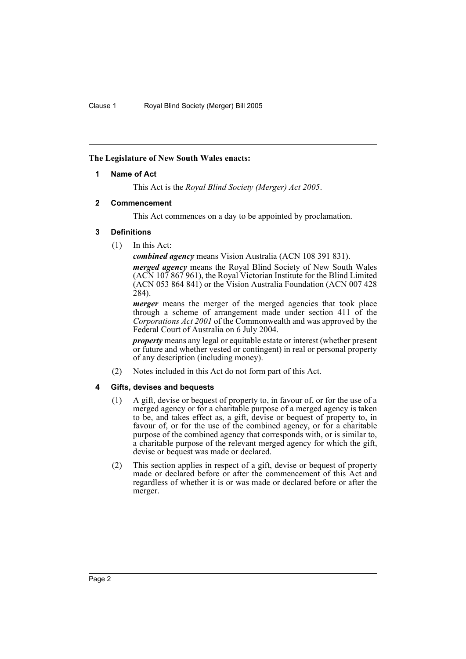#### **The Legislature of New South Wales enacts:**

#### **1 Name of Act**

This Act is the *Royal Blind Society (Merger) Act 2005*.

#### **2 Commencement**

This Act commences on a day to be appointed by proclamation.

#### **3 Definitions**

(1) In this Act:

*combined agency* means Vision Australia (ACN 108 391 831).

*merged agency* means the Royal Blind Society of New South Wales (ACN 107 867 961), the Royal Victorian Institute for the Blind Limited (ACN 053 864 841) or the Vision Australia Foundation (ACN 007 428 284).

*merger* means the merger of the merged agencies that took place through a scheme of arrangement made under section 411 of the *Corporations Act 2001* of the Commonwealth and was approved by the Federal Court of Australia on 6 July 2004.

*property* means any legal or equitable estate or interest (whether present) or future and whether vested or contingent) in real or personal property of any description (including money).

(2) Notes included in this Act do not form part of this Act.

#### **4 Gifts, devises and bequests**

- (1) A gift, devise or bequest of property to, in favour of, or for the use of a merged agency or for a charitable purpose of a merged agency is taken to be, and takes effect as, a gift, devise or bequest of property to, in favour of, or for the use of the combined agency, or for a charitable purpose of the combined agency that corresponds with, or is similar to, a charitable purpose of the relevant merged agency for which the gift, devise or bequest was made or declared.
- (2) This section applies in respect of a gift, devise or bequest of property made or declared before or after the commencement of this Act and regardless of whether it is or was made or declared before or after the merger.